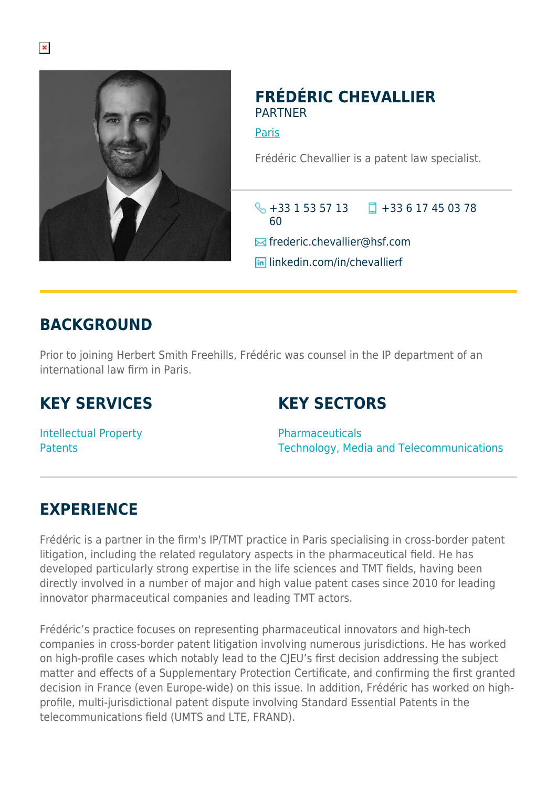

### **FRÉDÉRIC CHEVALLIER PARTNER**

[Paris](https://www.herbertsmithfreehills.com/lang-zh-hans/where-we-work/paris)

Frédéric Chevallier is a patent law specialist.

+33 1 53 57 13 +33 6 17 45 03 78 60

**Ex** frederic.chevallier@hsf.com

**lin** linkedin.com/in/chevallierf

# **BACKGROUND**

Prior to joining Herbert Smith Freehills, Frédéric was counsel in the IP department of an international law firm in Paris.

# **KEY SERVICES**

# **KEY SECTORS**

Intellectual Property **Patents** 

Pharmaceuticals Technology, Media and Telecommunications

# **EXPERIENCE**

Frédéric is a partner in the firm's IP/TMT practice in Paris specialising in cross-border patent litigation, including the related regulatory aspects in the pharmaceutical field. He has developed particularly strong expertise in the life sciences and TMT fields, having been directly involved in a number of major and high value patent cases since 2010 for leading innovator pharmaceutical companies and leading TMT actors.

Frédéric's practice focuses on representing pharmaceutical innovators and high-tech companies in cross-border patent litigation involving numerous jurisdictions. He has worked on high-profile cases which notably lead to the CJEU's first decision addressing the subject matter and effects of a Supplementary Protection Certificate, and confirming the first granted decision in France (even Europe-wide) on this issue. In addition, Frédéric has worked on highprofile, multi-jurisdictional patent dispute involving Standard Essential Patents in the telecommunications field (UMTS and LTE, FRAND).